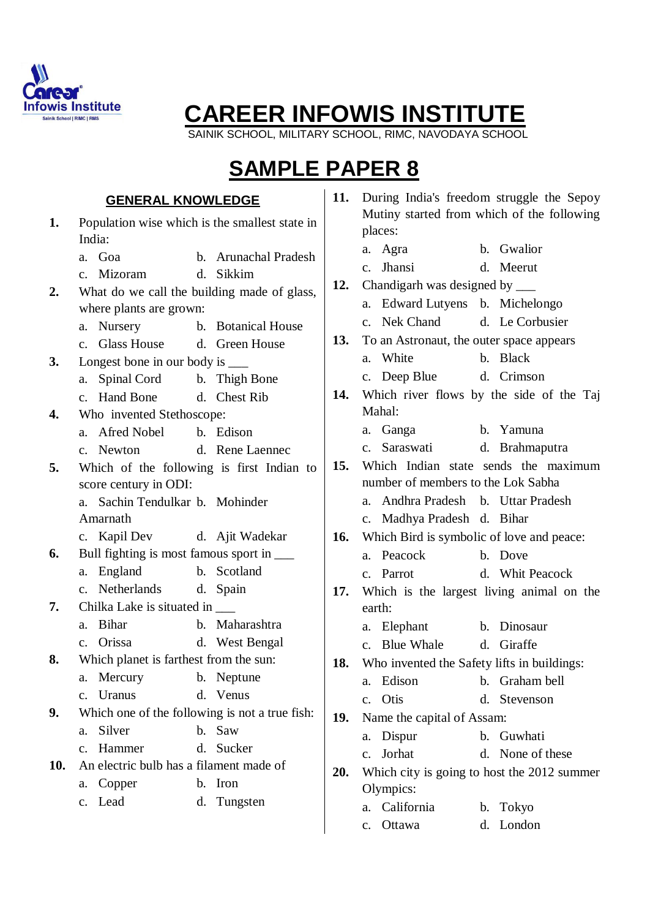

SAINIK SCHOOL, MILITARY SCHOOL, RIMC, NAVODAYA SCHOOL

## **SAMPLE PAPER 8**

#### **GENERAL KNOWLEDGE**

- **1.** Population wise which is the smallest state in India: a. Goa b. Arunachal Pradesh c. Mizoram d. Sikkim **2.** What do we call the building made of glass, where plants are grown: a. Nursery b. Botanical House c. Glass House d. Green House **3.** Longest bone in our body is a. Spinal Cord b. Thigh Bone c. Hand Bone d. Chest Rib **4.** Who invented Stethoscope: a. Afred Nobel b. Edison c. Newton d. Rene Laennec **5.** Which of the following is first Indian to score century in ODI: a. Sachin Tendulkar b. Mohinder Amarnath c. Kapil Dev d. Ajit Wadekar **6.** Bull fighting is most famous sport in \_\_\_ a. England b. Scotland c. Netherlands d. Spain **7.** Chilka Lake is situated in \_\_\_\_\_ a. Bihar b. Maharashtra c. Orissa d. West Bengal **8.** Which planet is farthest from the sun: a. Mercury b. Neptune c. Uranus d. Venus **9.** Which one of the following is not a true fish: a. Silver b. Saw c. Hammer d. Sucker **10.** An electric bulb has a filament made of a. Copper b. Iron c. Lead d. Tungsten
- **11.** During India's freedom struggle the Sepoy Mutiny started from which of the following places:
	- a. Agra b. Gwalior
	- c. Jhansi d. Meerut
- **12.** Chandigarh was designed by \_\_\_
	- a. Edward Lutyens b. Michelongo c. Nek Chand d. Le Corbusier
- **13.** To an Astronaut, the outer space appears
	- a. White b. Black
	- c. Deep Blue d. Crimson
- **14.** Which river flows by the side of the Taj Mahal:
	- a. Ganga b. Yamuna
	- c. Saraswati d. Brahmaputra
- **15.** Which Indian state sends the maximum number of members to the Lok Sabha
	- a. Andhra Pradesh b. Uttar Pradesh
	- c. Madhya Pradesh d. Bihar
- **16.** Which Bird is symbolic of love and peace:
	- a. Peacock b. Dove
	- c. Parrot d. Whit Peacock
- **17.** Which is the largest living animal on the earth:
	- a. Elephant b. Dinosaur
	- c. Blue Whale d. Giraffe
- **18.** Who invented the Safety lifts in buildings:
	- a. Edison b. Graham bell
	- c. Otis d. Stevenson
- **19.** Name the capital of Assam:
	- a. Dispur b. Guwhati
	- c. Jorhat d. None of these
- **20.** Which city is going to host the 2012 summer Olympics:
	- a. California b. Tokyo
	- c. Ottawa d. London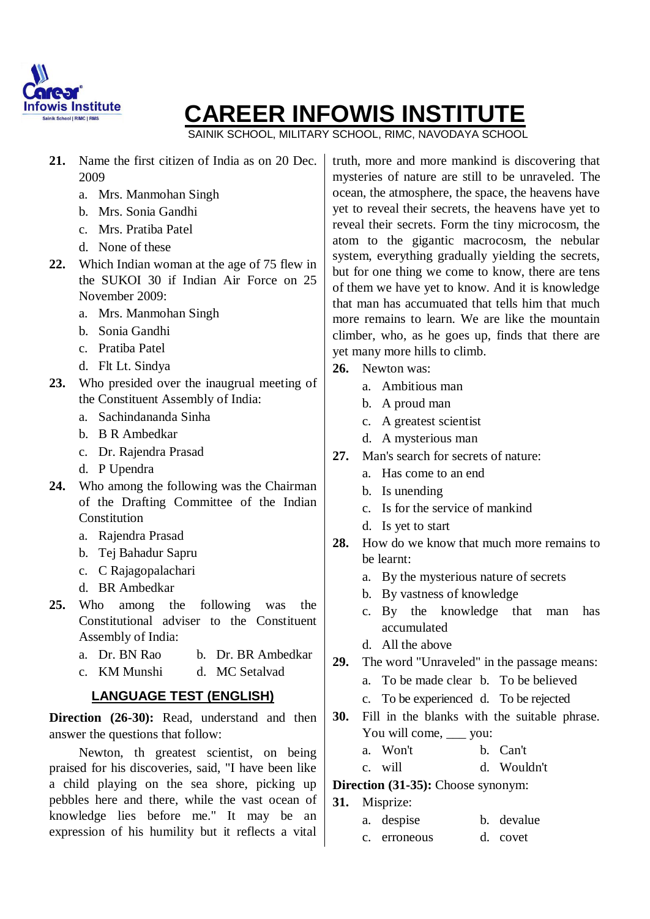

SAINIK SCHOOL, MILITARY SCHOOL, RIMC, NAVODAYA SCHOOL

- **21.** Name the first citizen of India as on 20 Dec. 2009
	- a. Mrs. Manmohan Singh
	- b. Mrs. Sonia Gandhi
	- c. Mrs. Pratiba Patel
	- d. None of these
- **22.** Which Indian woman at the age of 75 flew in the SUKOI 30 if Indian Air Force on 25 November 2009:
	- a. Mrs. Manmohan Singh
	- b. Sonia Gandhi
	- c. Pratiba Patel
	- d. Flt Lt. Sindya
- **23.** Who presided over the inaugrual meeting of the Constituent Assembly of India:
	- a. Sachindananda Sinha
	- b. B R Ambedkar
	- c. Dr. Rajendra Prasad
	- d. P Upendra
- **24.** Who among the following was the Chairman of the Drafting Committee of the Indian Constitution
	- a. Rajendra Prasad
	- b. Tej Bahadur Sapru
	- c. C Rajagopalachari
	- d. BR Ambedkar
- **25.** Who among the following was the Constitutional adviser to the Constituent Assembly of India:
	- a. Dr. BN Rao b. Dr. BR Ambedkar
	- c. KM Munshi d. MC Setalvad

#### **LANGUAGE TEST (ENGLISH)**

**Direction (26-30):** Read, understand and then answer the questions that follow:

Newton, th greatest scientist, on being praised for his discoveries, said, "I have been like a child playing on the sea shore, picking up pebbles here and there, while the vast ocean of knowledge lies before me." It may be an expression of his humility but it reflects a vital truth, more and more mankind is discovering that mysteries of nature are still to be unraveled. The ocean, the atmosphere, the space, the heavens have yet to reveal their secrets, the heavens have yet to reveal their secrets. Form the tiny microcosm, the atom to the gigantic macrocosm, the nebular system, everything gradually yielding the secrets, but for one thing we come to know, there are tens of them we have yet to know. And it is knowledge that man has accumuated that tells him that much more remains to learn. We are like the mountain climber, who, as he goes up, finds that there are yet many more hills to climb.

- **26.** Newton was:
	- a. Ambitious man
	- b. A proud man
	- c. A greatest scientist
	- d. A mysterious man
- **27.** Man's search for secrets of nature:
	- a. Has come to an end
	- b. Is unending
	- c. Is for the service of mankind
	- d. Is yet to start
- **28.** How do we know that much more remains to be learnt:
	- a. By the mysterious nature of secrets
	- b. By vastness of knowledge
	- c. By the knowledge that man has accumulated
	- d. All the above
- **29.** The word "Unraveled" in the passage means:
	- a. To be made clear b. To be believed
	- c. To be experienced d. To be rejected
- **30.** Fill in the blanks with the suitable phrase. You will come,  $\_\_$ you:
	- a. Won't b. Can't
	- c. will d. Wouldn't

#### **Direction (31-35):** Choose synonym:

**31.** Misprize:

| a. despise   | b. devalue |
|--------------|------------|
| c. erroneous | d. covet   |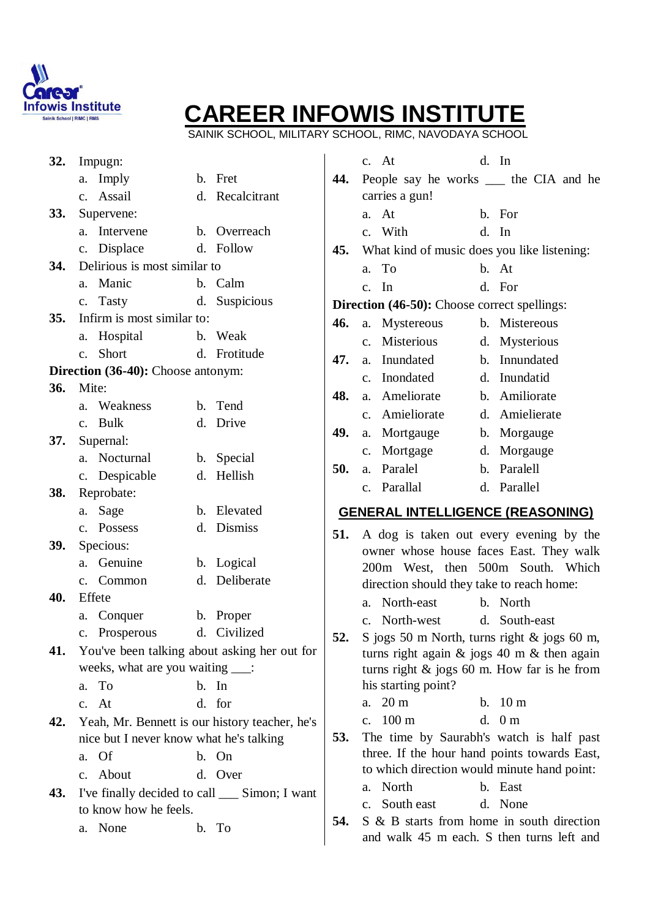

SAINIK SCHOOL, MILITARY SCHOOL, RIMC, NAVODAYA SCHOOL

| 32.        | Impugn:                                        |                 |     | c. At                                               | d. In                                                                                           |
|------------|------------------------------------------------|-----------------|-----|-----------------------------------------------------|-------------------------------------------------------------------------------------------------|
|            | a. Imply                                       | b. Fret         | 44. | People say he works _____ the CIA and he            |                                                                                                 |
|            | c. Assail                                      | d. Recalcitrant |     | carries a gun!                                      |                                                                                                 |
| <b>33.</b> | Supervene:                                     |                 |     | a. At                                               | b. For                                                                                          |
|            | a. Intervene                                   | b. Overreach    |     | c. With                                             | d. In                                                                                           |
|            | c. Displace                                    | d. Follow       | 45. | What kind of music does you like listening:         |                                                                                                 |
| 34.        | Delirious is most similar to                   |                 |     | To<br>a.                                            | b. At                                                                                           |
|            | a. Manic                                       | b. Calm         |     | In<br>$\mathbf{c}$ .                                | d. For                                                                                          |
|            | c. Tasty                                       | d. Suspicious   |     | <b>Direction (46-50):</b> Choose correct spellings: |                                                                                                 |
| 35.        | Infirm is most similar to:                     |                 | 46. | a. Mystereous                                       | b. Mistereous                                                                                   |
|            | a. Hospital                                    | b. Weak         |     | Misterious<br>$\mathbf{c}$ .                        | d. Mysterious                                                                                   |
|            | Short<br>$\mathbf{c}$ .                        | d. Frotitude    | 47. | Inundated<br>a.                                     | b. Innundated                                                                                   |
|            | <b>Direction (36-40):</b> Choose antonym:      |                 |     | Inondated<br>$\mathbf{c}$ .                         | d. Inundatid                                                                                    |
| <b>36.</b> | Mite:                                          |                 | 48. | Ameliorate<br>a.                                    | b. Amiliorate                                                                                   |
|            | a. Weakness                                    | b. Tend         |     | Amieliorate<br>$c_{\cdot}$                          | d. Amielierate                                                                                  |
|            | c. Bulk                                        | d. Drive        | 49. | a. Mortgauge                                        | b. Morgauge                                                                                     |
| 37.        | Supernal:                                      |                 |     |                                                     |                                                                                                 |
|            | a. Nocturnal                                   | b. Special      | 50. | Mortgage<br>$c_{\cdot}$<br>Paralel                  | d. Morgauge<br>b. Paralell                                                                      |
|            | c. Despicable                                  | d. Hellish      |     | a.                                                  |                                                                                                 |
| 38.        | Reprobate:                                     |                 |     | c. Parallal                                         | d. Parallel                                                                                     |
|            |                                                |                 |     |                                                     |                                                                                                 |
|            | a. Sage                                        | b. Elevated     |     | <b>GENERAL INTELLIGENCE (REASONING)</b>             |                                                                                                 |
|            | c. Possess                                     | d. Dismiss      |     |                                                     |                                                                                                 |
| 39.        | Specious:                                      |                 | 51. |                                                     | A dog is taken out every evening by the                                                         |
|            | Genuine<br>a.                                  | b. Logical      |     |                                                     | owner whose house faces East. They walk<br>200m West, then 500m South. Which                    |
|            | c. Common                                      | d. Deliberate   |     | direction should they take to reach home:           |                                                                                                 |
| 40.        | Effete                                         |                 |     | North-east<br>a.                                    | b. North                                                                                        |
|            | Conquer<br>a.                                  | b. Proper       |     | North-west<br>$\mathbf{c}$ .                        | d. South-east                                                                                   |
|            | c. Prosperous                                  | d. Civilized    | 52. |                                                     |                                                                                                 |
| 41.        | You've been talking about asking her out for   |                 |     |                                                     | S jogs 50 m North, turns right & jogs 60 m,<br>turns right again $\&$ jogs 40 m $\&$ then again |
|            | weeks, what are you waiting ___:               |                 |     |                                                     | turns right $\&$ jogs 60 m. How far is he from                                                  |
|            | To<br>a.                                       | b. In           |     | his starting point?                                 |                                                                                                 |
|            | c. At                                          | d. for          |     | $20 \text{ m}$<br>a.                                | b. 10 m                                                                                         |
| 42.        | Yeah, Mr. Bennett is our history teacher, he's |                 |     | $100 \text{ m}$<br>$\mathbf{c}$ .                   | d. 0 m                                                                                          |
|            | nice but I never know what he's talking        |                 | 53. |                                                     | The time by Saurabh's watch is half past                                                        |
|            | a. Of                                          | b. On           |     |                                                     | three. If the hour hand points towards East,                                                    |
|            | c. About                                       | d. Over         |     | to which direction would minute hand point:         |                                                                                                 |
| 43.        | I've finally decided to call ___ Simon; I want |                 |     | North<br>a.                                         | b. East                                                                                         |
|            | to know how he feels.                          |                 |     | South east<br>$\mathbf{c}$ .                        | d. None                                                                                         |
|            | a. None                                        | b. To           | 54. |                                                     | S & B starts from home in south direction<br>and walk 45 m each. S then turns left and          |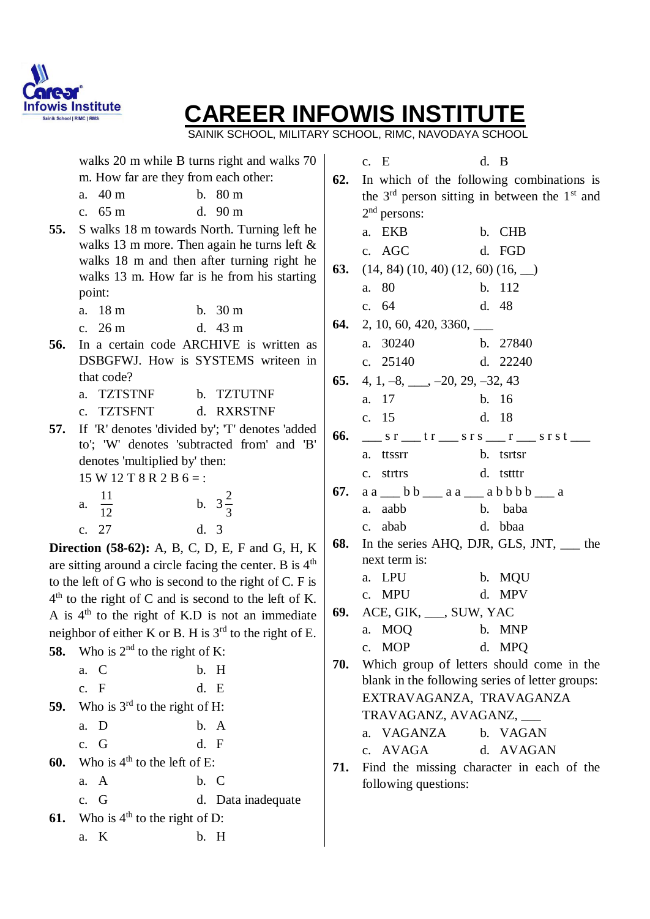

SAINIK SCHOOL, MILITARY SCHOOL, RIMC, NAVODAYA SCHOOL

|     |                                      | walks 20 m while B turns right and walks 70               |            | c. E                                                        | d. B                                                                                                              |  |
|-----|--------------------------------------|-----------------------------------------------------------|------------|-------------------------------------------------------------|-------------------------------------------------------------------------------------------------------------------|--|
|     | m. How far are they from each other: |                                                           | 62.        |                                                             | In which of the following combinations is                                                                         |  |
|     | a. 40 m                              | b. 80 m                                                   |            |                                                             | the $3rd$ person sitting in between the $1st$ and                                                                 |  |
|     | c. 65 m                              | d. $90 \text{ m}$                                         |            | $2nd$ persons:                                              |                                                                                                                   |  |
| 55. |                                      | S walks 18 m towards North. Turning left he               |            | a. EKB                                                      | b. CHB                                                                                                            |  |
|     |                                      | walks 13 m more. Then again he turns left $\&$            |            | c. AGC                                                      | d. FGD                                                                                                            |  |
|     |                                      | walks 18 m and then after turning right he                | <b>63.</b> | $(14, 84) (10, 40) (12, 60) (16, \underline{\hspace{1cm}})$ |                                                                                                                   |  |
|     | point:                               | walks 13 m. How far is he from his starting               |            | a. 80                                                       | b. 112                                                                                                            |  |
|     | a. 18 m                              | b. 30 m                                                   |            | c. 64                                                       | d. 48                                                                                                             |  |
|     | c. $26 m$                            | d. $43 \text{ m}$                                         | 64.        | $2, 10, 60, 420, 3360, \_\_$                                |                                                                                                                   |  |
| 56. |                                      | In a certain code ARCHIVE is written as                   |            | a. 30240                                                    | b. 27840                                                                                                          |  |
|     |                                      | DSBGFWJ. How is SYSTEMS writeen in                        |            | c. $25140$                                                  | d. 22240                                                                                                          |  |
|     | that code?                           |                                                           | 65.        | 4, 1, $-8$ , $-20$ , 29, $-32$ , 43                         |                                                                                                                   |  |
|     | a. TZTSTNF                           | b. TZTUTNF                                                |            | a. 17                                                       | b. 16                                                                                                             |  |
|     | c. TZTSFNT                           | d. RXRSTNF                                                |            |                                                             |                                                                                                                   |  |
| 57. |                                      | If 'R' denotes 'divided by'; 'T' denotes 'added           |            | c. 15                                                       | d. 18                                                                                                             |  |
|     |                                      | to'; 'W' denotes 'subtracted from' and 'B'                | 66.        |                                                             | $\frac{\ }{2}$ s r $\frac{\ }{2}$ t r $\frac{\ }{2}$ s r s $\frac{\ }{2}$ r $\frac{\ }{2}$ s r s t $\frac{\ }{2}$ |  |
|     | denotes 'multiplied by' then:        |                                                           |            | a. ttssrr                                                   | b. tsrtsr                                                                                                         |  |
|     | $15 W 12 T 8 R 2 B 6 =$ :            |                                                           |            | c. strtrs                                                   | d. tstttr                                                                                                         |  |
|     | a. $\frac{11}{12}$                   | b. $3\frac{2}{3}$                                         |            |                                                             | 67. $a a$ b b a $a$ a b b b b a                                                                                   |  |
|     |                                      |                                                           |            | a. aabb                                                     | b. baba                                                                                                           |  |
|     | c. 27                                | d. 3                                                      |            | c. abab                                                     | d. bbaa                                                                                                           |  |
|     |                                      | <b>Direction (58-62):</b> A, B, C, D, E, F and G, H, K    | 68.        |                                                             | In the series AHQ, DJR, GLS, JNT, ___ the                                                                         |  |
|     |                                      | are sitting around a circle facing the center. B is $4th$ |            | next term is:                                               |                                                                                                                   |  |
|     |                                      | to the left of G who is second to the right of C. F is    |            | a. LPU                                                      | b. MQU                                                                                                            |  |
|     |                                      | $4th$ to the right of C and is second to the left of K.   |            | c. MPU                                                      | d. MPV                                                                                                            |  |
|     |                                      | A is $4th$ to the right of K.D is not an immediate        |            | 69. ACE, GIK, ___, SUW, YAC                                 |                                                                                                                   |  |
|     |                                      | neighbor of either K or B. H is $3rd$ to the right of E.  |            | a. MOQ b. MNP                                               |                                                                                                                   |  |
|     | 58. Who is $2nd$ to the right of K:  |                                                           |            | c. MOP                                                      | d. MPO                                                                                                            |  |
|     | a. C                                 | b. H                                                      | 70.        |                                                             | Which group of letters should come in the                                                                         |  |
|     | c. F                                 | d. E                                                      |            |                                                             | blank in the following series of letter groups:<br>EXTRAVAGANZA, TRAVAGANZA                                       |  |
| 59. | Who is $3^{rd}$ to the right of H:   |                                                           |            |                                                             |                                                                                                                   |  |
|     | a. D                                 | b. A                                                      |            |                                                             | TRAVAGANZ, AVAGANZ, ___                                                                                           |  |
|     | c. G                                 | d. F                                                      |            | a. VAGANZA                                                  | b. VAGAN                                                                                                          |  |
| 60. | Who is $4th$ to the left of E:       |                                                           |            | c. AVAGA                                                    | d. AVAGAN                                                                                                         |  |
|     | a. A                                 | b. C                                                      | 71.        | following questions:                                        | Find the missing character in each of the                                                                         |  |
|     | c. G                                 | d. Data inadequate                                        |            |                                                             |                                                                                                                   |  |
| 61. | Who is $4th$ to the right of D:      |                                                           |            |                                                             |                                                                                                                   |  |
|     |                                      |                                                           |            |                                                             |                                                                                                                   |  |
|     | a. K                                 | b. H                                                      |            |                                                             |                                                                                                                   |  |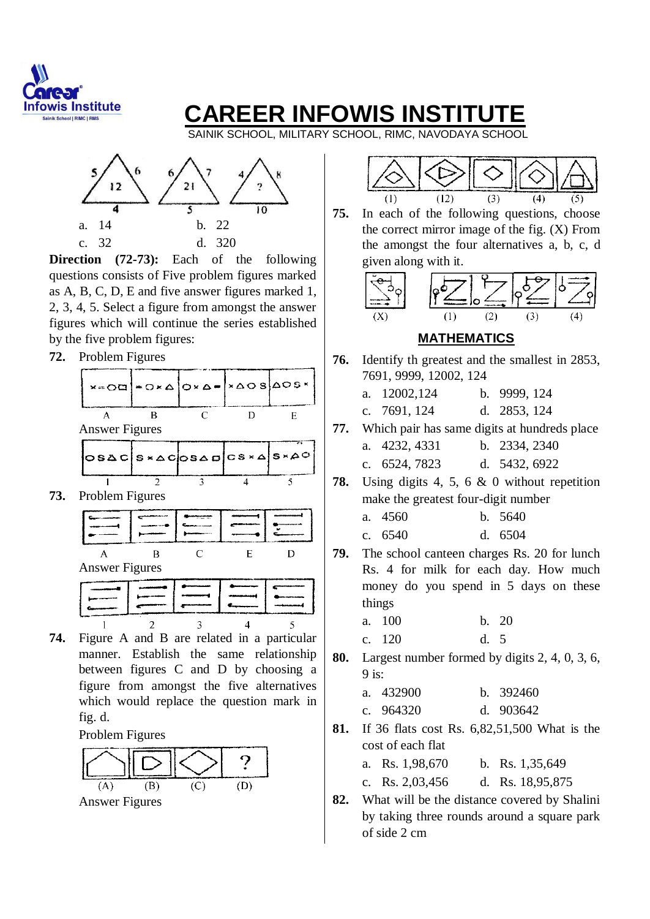

SAINIK SCHOOL, MILITARY SCHOOL, RIMC, NAVODAYA SCHOOL



**Direction** (72-73): Each of the following questions consists of Five problem figures marked as A, B, C, D, E and five answer figures marked 1, 2, 3, 4, 5. Select a figure from amongst the answer figures which will continue the series established by the five problem figures:

**72.** Problem Figures



**73.** Problem Figures



**74.** Figure A and B are related in a particular manner. Establish the same relationship between figures C and D by choosing a figure from amongst the five alternatives which would replace the question mark in fig. d.

Problem Figures



 $(12)$  $(1)$  $(3)$  $\overline{(4)}$ 

**75.** In each of the following questions, choose the correct mirror image of the fig. (X) From the amongst the four alternatives a, b, c, d given along with it.



#### **MATHEMATICS**

- **76.** Identify th greatest and the smallest in 2853, 7691, 9999, 12002, 124
	- a. 12002,124 b. 9999, 124
	- c. 7691, 124 d. 2853, 124
- **77.** Which pair has same digits at hundreds place a. 4232, 4331 b. 2334, 2340
	- c. 6524, 7823 d. 5432, 6922
- **78.** Using digits 4, 5, 6 & 0 without repetition make the greatest four-digit number
	- a. 4560 b. 5640
	- c. 6540 d. 6504
- **79.** The school canteen charges Rs. 20 for lunch Rs. 4 for milk for each day. How much money do you spend in 5 days on these things
	- a. 100 b. 20
	- c. 120 d. 5
- **80.** Largest number formed by digits 2, 4, 0, 3, 6,  $9$  is:

| a. 432900   | h. 392460   |
|-------------|-------------|
| c. $964320$ | d. $903642$ |

**81.** If 36 flats cost Rs. 6,82,51,500 What is the cost of each flat

|  | a. Rs. 1,98,670 |  |  | b. Rs. $1,35,649$ |
|--|-----------------|--|--|-------------------|
|--|-----------------|--|--|-------------------|

| d. Rs. 18,95,875<br>c. Rs. $2,03,456$ |  |
|---------------------------------------|--|
|---------------------------------------|--|

**82.** What will be the distance covered by Shalini by taking three rounds around a square park of side 2 cm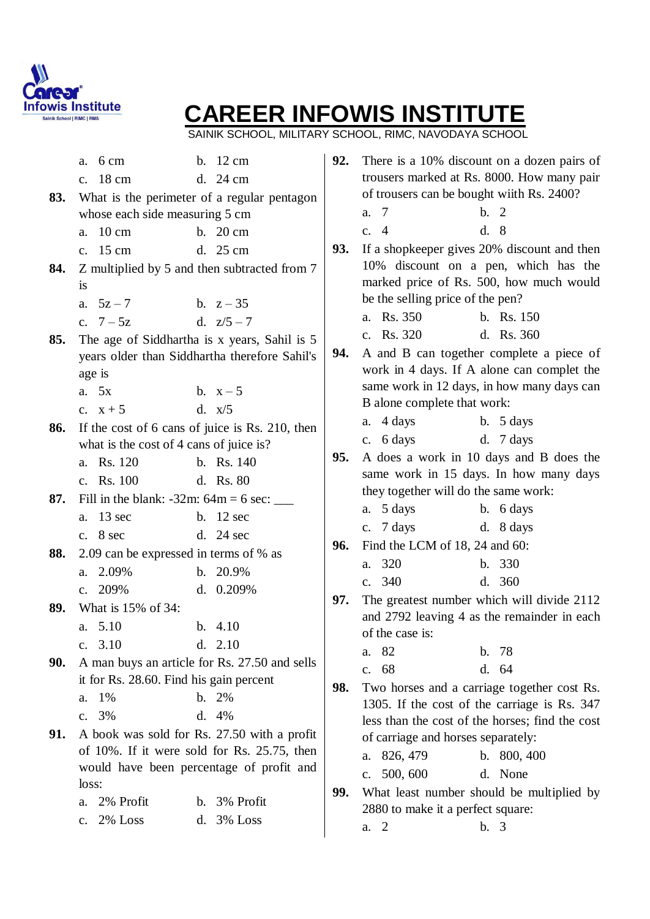

SAINIK SCHOOL, MILITARY SCHOOL, RIMC, NAVODAYA SCHOOL

| 83. | a. $6 \text{ cm}$<br>c. 18 cm<br>whose each side measuring 5 cm | b. 12 cm<br>d. 24 cm<br>What is the perimeter of a regular pentagon                     | 92. | There is a 10% discount on a dozen pairs of<br>trousers marked at Rs. 8000. How many pair<br>of trousers can be bought wiith Rs. 2400?<br>b.2<br>-7<br>a. |
|-----|-----------------------------------------------------------------|-----------------------------------------------------------------------------------------|-----|-----------------------------------------------------------------------------------------------------------------------------------------------------------|
|     | a. 10 cm                                                        | b. $20 \text{ cm}$                                                                      |     | d. 8<br>c. $4$                                                                                                                                            |
|     | c. 15 cm                                                        | d. 25 cm                                                                                | 93. | If a shopkeeper gives 20% discount and then                                                                                                               |
| 84. | <i>is</i>                                                       | Z multiplied by 5 and then subtracted from 7                                            |     | 10% discount on a pen, which has the<br>marked price of Rs. 500, how much would                                                                           |
|     | a. $5z - 7$                                                     | b. $z - 35$                                                                             |     | be the selling price of the pen?                                                                                                                          |
|     | c. $7 - 5z$                                                     | d. $z/5 - 7$                                                                            |     | a. Rs. 350<br>b. Rs. 150                                                                                                                                  |
| 85. |                                                                 | The age of Siddhartha is x years, Sahil is 5                                            | 94. | c. Rs. 320<br>d. Rs. 360                                                                                                                                  |
|     |                                                                 | years older than Siddhartha therefore Sahil's                                           |     | A and B can together complete a piece of<br>work in 4 days. If A alone can complet the                                                                    |
|     | age is<br>a. 5x                                                 | b. $x-5$                                                                                |     | same work in 12 days, in how many days can                                                                                                                |
|     | c. $x + 5$                                                      | d. $x/5$                                                                                |     | B alone complete that work:                                                                                                                               |
| 86. |                                                                 | If the cost of 6 cans of juice is Rs. 210, then                                         |     | a. 4 days<br>b. $5 \text{ days}$                                                                                                                          |
|     | what is the cost of 4 cans of juice is?                         |                                                                                         |     | d. $7 \text{ days}$<br>c. $6 \text{ days}$                                                                                                                |
|     | a. Rs. 120                                                      | b. Rs. 140                                                                              | 95. | A does a work in 10 days and B does the                                                                                                                   |
|     | c. Rs. 100                                                      | d. Rs. 80                                                                               |     | same work in 15 days. In how many days                                                                                                                    |
| 87. | Fill in the blank: -32m: $64m = 6$ sec: _____                   |                                                                                         |     | they together will do the same work:                                                                                                                      |
|     | a. 13 sec                                                       | b. $12 \text{ sec}$                                                                     |     | a. $5 \text{ days}$<br>b. 6 days                                                                                                                          |
|     | c. $8 \text{ sec}$                                              | d. $24 \text{ sec}$                                                                     |     | c. $7 \text{ days}$<br>d. 8 days                                                                                                                          |
| 88. | 2.09 can be expressed in terms of % as                          |                                                                                         | 96. | Find the LCM of 18, 24 and 60:                                                                                                                            |
|     | a. 2.09%                                                        | b. 20.9%                                                                                |     | a. 320<br>b. 330                                                                                                                                          |
|     | c. $209%$                                                       | d. $0.209%$                                                                             |     | c. 340<br>d. 360                                                                                                                                          |
| 89. | What is 15% of 34:                                              |                                                                                         | 97. | The greatest number which will divide 2112<br>and 2792 leaving 4 as the remainder in each                                                                 |
|     | a. 5.10                                                         | b. $4.10$                                                                               |     | of the case is:                                                                                                                                           |
|     | c. $3.10$                                                       | d. 2.10                                                                                 |     | -78<br>82<br>b.<br>a.                                                                                                                                     |
| 90. |                                                                 | A man buys an article for Rs. 27.50 and sells                                           |     | d. 64<br>c. 68                                                                                                                                            |
|     | it for Rs. 28.60. Find his gain percent                         |                                                                                         | 98. | Two horses and a carriage together cost Rs.                                                                                                               |
|     | 1%<br>a.                                                        | $b. \t2\%$                                                                              |     | 1305. If the cost of the carriage is Rs. 347                                                                                                              |
|     | c. 3%                                                           | d. 4%                                                                                   |     | less than the cost of the horses; find the cost                                                                                                           |
| 91. |                                                                 | A book was sold for Rs. 27.50 with a profit                                             |     | of carriage and horses separately:                                                                                                                        |
|     |                                                                 | of 10%. If it were sold for Rs. 25.75, then<br>would have been percentage of profit and |     | 826, 479<br>b. $800, 400$<br>a.                                                                                                                           |
|     | loss:                                                           |                                                                                         |     | 500, 600<br>d. None<br>$c_{\cdot}$                                                                                                                        |
|     | 2% Profit<br>a.                                                 | b. 3% Profit                                                                            | 99. | What least number should be multiplied by                                                                                                                 |
|     | c. 2% Loss                                                      | d. 3% Loss                                                                              |     | 2880 to make it a perfect square:                                                                                                                         |
|     |                                                                 |                                                                                         |     | a. 2<br>b. 3                                                                                                                                              |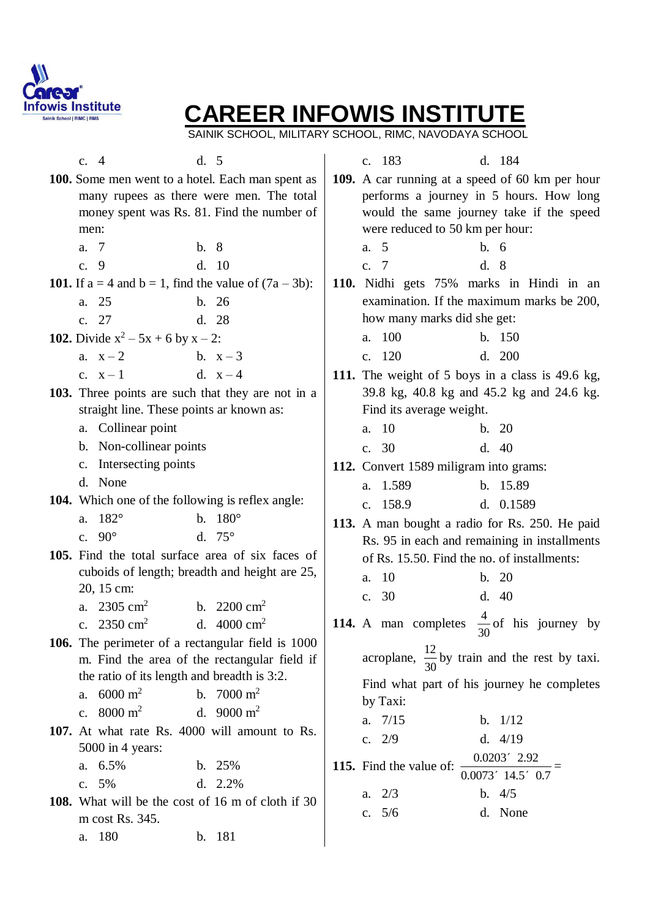

SAINIK SCHOOL, MILITARY SCHOOL, RIMC, NAVODAYA SCHOOL

| c. $4$                                      | d. 5                                                                 |                | c. 183                                                       |      | d. 184              |  |
|---------------------------------------------|----------------------------------------------------------------------|----------------|--------------------------------------------------------------|------|---------------------|--|
|                                             | 100. Some men went to a hotel. Each man spent as                     |                | 109. A car running at a speed of 60 km per hour              |      |                     |  |
|                                             | many rupees as there were men. The total                             |                | performs a journey in 5 hours. How long                      |      |                     |  |
|                                             | money spent was Rs. 81. Find the number of                           |                | would the same journey take if the speed                     |      |                     |  |
| men:                                        |                                                                      |                | were reduced to 50 km per hour:                              |      |                     |  |
| - 7<br>a.                                   | b.8                                                                  | a. 5           |                                                              | b.6  |                     |  |
| c. 9                                        | d. 10                                                                | c. 7           |                                                              | d. 8 |                     |  |
|                                             | <b>101.</b> If $a = 4$ and $b = 1$ , find the value of $(7a - 3b)$ : |                | 110. Nidhi gets 75% marks in Hindi in an                     |      |                     |  |
| 25<br>a.                                    | b. 26                                                                |                | examination. If the maximum marks be 200,                    |      |                     |  |
| c. 27                                       | d. 28                                                                |                | how many marks did she get:                                  |      |                     |  |
| 102. Divide $x^2 - 5x + 6$ by $x - 2$ :     |                                                                      |                | a. 100                                                       |      | b. 150              |  |
| a. $x-2$                                    | b. $x-3$                                                             | $\mathbf{c}$ . | 120                                                          |      | d. 200              |  |
| c. $x-1$                                    | d. $x-4$                                                             |                | 111. The weight of 5 boys in a class is 49.6 kg,             |      |                     |  |
|                                             | 103. Three points are such that they are not in a                    |                | 39.8 kg, 40.8 kg and 45.2 kg and 24.6 kg.                    |      |                     |  |
| straight line. These points ar known as:    |                                                                      |                | Find its average weight.                                     |      |                     |  |
| a. Collinear point                          |                                                                      |                | a. 10                                                        |      | b. 20               |  |
| b. Non-collinear points                     |                                                                      |                | c. 30                                                        |      | d.40                |  |
| Intersecting points<br>c.                   |                                                                      |                | 112. Convert 1589 miligram into grams:                       |      |                     |  |
| d. None                                     |                                                                      |                | a. 1.589                                                     |      | b. 15.89            |  |
|                                             | <b>104.</b> Which one of the following is reflex angle:              |                | c. 158.9                                                     |      | d. $0.1589$         |  |
| $182^{\circ}$<br>a.                         | b. $180^{\circ}$                                                     |                | 113. A man bought a radio for Rs. 250. He paid               |      |                     |  |
| c. $90^\circ$                               | d. $75^\circ$                                                        |                | Rs. 95 in each and remaining in installments                 |      |                     |  |
|                                             | 105. Find the total surface area of six faces of                     |                | of Rs. 15.50. Find the no. of installments:                  |      |                     |  |
|                                             | cuboids of length; breadth and height are 25,                        | a.             | - 10                                                         |      | b. 20               |  |
| 20, 15 cm:                                  |                                                                      |                | c. 30                                                        |      | d.40                |  |
| a. $2305 \text{ cm}^2$                      | b. $2200 \text{ cm}^2$                                               |                |                                                              |      |                     |  |
| c. $2350 \text{ cm}^2$                      | d. $4000 \text{ cm}^2$                                               |                | <b>114.</b> A man completes $\frac{1}{20}$ of his journey by | 30   |                     |  |
|                                             | 106. The perimeter of a rectangular field is 1000                    |                |                                                              |      |                     |  |
|                                             | m. Find the area of the rectangular field if                         |                | acroplane, $\frac{12}{30}$ by train and the rest by taxi.    |      |                     |  |
| the ratio of its length and breadth is 3:2. |                                                                      |                | Find what part of his journey he completes                   |      |                     |  |
| $6000 \; \mathrm{m}^2$<br>a.                | b. $7000 \text{ m}^2$                                                |                | by Taxi:                                                     |      |                     |  |
| $8000 \; \mathrm{m}^2$<br>$\mathbf{c}$ .    | d. 9000 $m^2$                                                        |                | a. $7/15$                                                    |      | b. $1/12$           |  |
|                                             | 107. At what rate Rs. 4000 will amount to Rs.                        |                | c. $2/9$                                                     |      | d. $4/19$           |  |
| 5000 in 4 years:                            |                                                                      |                |                                                              |      | $0.0203'$ 2.92      |  |
| a. 6.5%                                     | b. 25%                                                               |                | 115. Find the value of: $\frac{1}{2}$                        |      | $0.0073'$ 14.5' 0.7 |  |
| c. $5%$                                     | d. $2.2\%$                                                           |                | a. $2/3$                                                     |      | $b. \quad 4/5$      |  |
|                                             | <b>108.</b> What will be the cost of 16 m of cloth if 30             |                | c. $5/6$                                                     |      | d. None             |  |
| m cost Rs. 345.                             |                                                                      |                |                                                              |      |                     |  |
| 180<br>a.                                   | b. 181                                                               |                |                                                              |      |                     |  |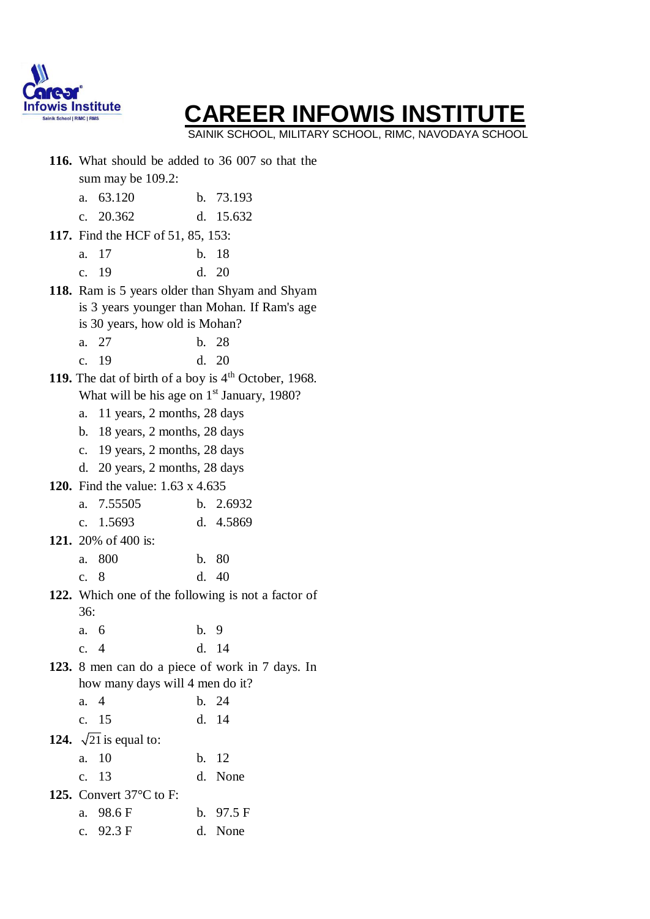

SAINIK SCHOOL, MILITARY SCHOOL, RIMC, NAVODAYA SCHOOL

|                                |                                                        |     | 116. What should be added to 36 007 so that the                  |  |  |  |  |  |
|--------------------------------|--------------------------------------------------------|-----|------------------------------------------------------------------|--|--|--|--|--|
|                                | sum may be 109.2:                                      |     |                                                                  |  |  |  |  |  |
| a.                             | 63.120                                                 |     | b. 73.193                                                        |  |  |  |  |  |
|                                | c. 20.362                                              |     | d. 15.632                                                        |  |  |  |  |  |
|                                | <b>117.</b> Find the HCF of 51, 85, 153:               |     |                                                                  |  |  |  |  |  |
| a.                             | 17                                                     |     | b. 18                                                            |  |  |  |  |  |
|                                | c. 19                                                  |     | d. 20                                                            |  |  |  |  |  |
|                                |                                                        |     | 118. Ram is 5 years older than Shyam and Shyam                   |  |  |  |  |  |
|                                |                                                        |     | is 3 years younger than Mohan. If Ram's age                      |  |  |  |  |  |
|                                | is 30 years, how old is Mohan?                         |     |                                                                  |  |  |  |  |  |
| a.                             | 27                                                     |     | b. 28                                                            |  |  |  |  |  |
| $\mathbf{c}$ .                 | 19                                                     |     | d. 20                                                            |  |  |  |  |  |
|                                |                                                        |     | 119. The dat of birth of a boy is 4 <sup>th</sup> October, 1968. |  |  |  |  |  |
|                                | What will be his age on 1 <sup>st</sup> January, 1980? |     |                                                                  |  |  |  |  |  |
| a.                             | 11 years, 2 months, 28 days                            |     |                                                                  |  |  |  |  |  |
| b. 18 years, 2 months, 28 days |                                                        |     |                                                                  |  |  |  |  |  |
| c. 19 years, 2 months, 28 days |                                                        |     |                                                                  |  |  |  |  |  |
|                                | d. $20$ years, 2 months, 28 days                       |     |                                                                  |  |  |  |  |  |
|                                | <b>120.</b> Find the value: 1.63 x 4.635               |     |                                                                  |  |  |  |  |  |
| a.                             | 7.55505                                                |     | b. $2.6932$                                                      |  |  |  |  |  |
|                                | c. $1.5693$                                            |     | d. 4.5869                                                        |  |  |  |  |  |
|                                | 121. 20% of 400 is:                                    |     |                                                                  |  |  |  |  |  |
| a.                             | 800                                                    | b.  | 80                                                               |  |  |  |  |  |
| $\mathbf{c}$ .                 | 8                                                      | d.  | 40                                                               |  |  |  |  |  |
|                                |                                                        |     | 122. Which one of the following is not a factor of               |  |  |  |  |  |
| 36:                            |                                                        |     |                                                                  |  |  |  |  |  |
|                                | a. 6                                                   | b.9 |                                                                  |  |  |  |  |  |
|                                | c. $4$                                                 |     | d. 14                                                            |  |  |  |  |  |
|                                |                                                        |     | 123. 8 men can do a piece of work in 7 days. In                  |  |  |  |  |  |
|                                | how many days will 4 men do it?                        |     |                                                                  |  |  |  |  |  |
| a.                             | $\overline{4}$                                         |     | b. 24                                                            |  |  |  |  |  |
|                                | c. 15                                                  |     | d. 14                                                            |  |  |  |  |  |
|                                | 124. $\sqrt{21}$ is equal to:                          |     |                                                                  |  |  |  |  |  |
| a.                             | 10                                                     | b.  | 12                                                               |  |  |  |  |  |
|                                | c. 13                                                  |     | d. None                                                          |  |  |  |  |  |
|                                | 125. Convert $37^{\circ}$ C to F:                      |     |                                                                  |  |  |  |  |  |
|                                | a. 98.6 F                                              |     | b. $97.5 \text{ F}$                                              |  |  |  |  |  |
|                                | c. $92.3 \text{ F}$                                    |     | d. None                                                          |  |  |  |  |  |